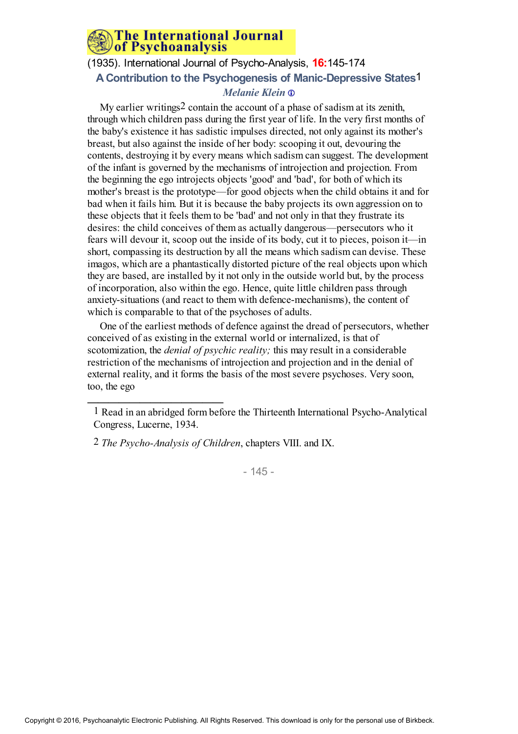

## (1935). International Journal of Psycho-Analysis, **[16:](http://www.pep-web.org/search.php?volume=16&journal=ijp)**145-174 **AContribution to the Psychogenesis of [Manic-Depressive](http://www.pep-web.org/toc.php?journal=ijp&volume=16#p0145) States** 1 *[Melanie](http://www.pep-web.org/search.php?author=%22Klein%2C+M.%22) Klein*

My earlier writings<sup>2</sup> contain the account of a phase of sadism at its zenith, through which children pass during the first year of life. In the very first months of the baby's existence it has sadistic impulses directed, not only against its mother's breast, but also against the inside of her body: scooping it out, devouring the contents, destroying it by every means which sadismcan suggest. The development of the infant is governed by the mechanisms of introjection and projection. From the beginning the ego introjects objects 'good' and 'bad', for both of which its mother's breast is the prototype—for good objects when the child obtains it and for bad when it fails him. But it is because the baby projects its own aggression on to these objects that it feels themto be 'bad' and not only in that they frustrate its desires: the child conceives of themas actually dangerous—persecutors who it fears will devour it, scoop out the inside of its body, cut it to pieces, poison it—in short, compassing its destruction by all the means which sadismcan devise. These imagos, which are a phantastically distorted picture of the real objects upon which they are based, are installed by it not only in the outside world but, by the process of incorporation, also within the ego. Hence, quite little children pass through anxiety-situations (and react to themwith defence-mechanisms), the content of which is comparable to that of the psychoses of adults.

One of the earliest methods of defence against the dread of persecutors, whether conceived of as existing in the external world or internalized, is that of scotomization, the *denial of psychic reality;* this may result in a considerable restriction of the mechanisms of introjection and projection and in the denial of external reality, and it forms the basis of the most severe psychoses. Very soon, too, the ego

 $\overline{1}$ <sup>1</sup> Read in an abridged form before the Thirteenth International Psycho-Analytical Congress, Lucerne, 1934.

*The Psycho-Analysis of Children*, chapters VIII. and IX. 2

<sup>-</sup> 145 -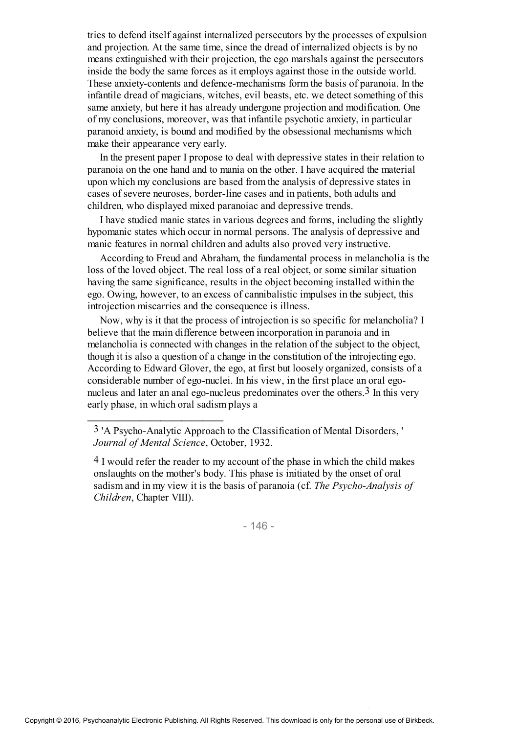tries to defend itself against internalized persecutors by the processes of expulsion and projection. At the same time, since the dread of internalized objects is by no means extinguished with their projection, the ego marshals against the persecutors inside the body the same forces as it employs against those in the outside world. These anxiety-contents and defence-mechanisms formthe basis of paranoia. In the infantile dread of magicians, witches, evil beasts, etc. we detect something of this same anxiety, but here it has already undergone projection and modification. One of my conclusions, moreover, was that infantile psychotic anxiety, in particular paranoid anxiety, is bound and modified by the obsessional mechanisms which make their appearance very early.

In the present paper I propose to deal with depressive states in their relation to paranoia on the one hand and to mania on the other. I have acquired the material upon which my conclusions are based fromthe analysis of depressive states in cases of severe neuroses, border-line cases and in patients, both adults and children, who displayed mixed paranoiac and depressive trends.

I have studied manic states in various degrees and forms, including the slightly hypomanic states which occur in normal persons. The analysis of depressive and manic features in normal children and adults also proved very instructive.

According to Freud and Abraham, the fundamental process in melancholia is the loss of the loved object. The real loss of a real object, or some similar situation having the same significance, results in the object becoming installed within the ego. Owing, however, to an excess of cannibalistic impulses in the subject, this introjection miscarries and the consequence is illness.

Now, why is it that the process of introjection is so specific for melancholia? I believe that the main difference between incorporation in paranoia and in melancholia is connected with changes in the relation of the subject to the object, though it is also a question of a change in the constitution of the introjecting ego. According to Edward Glover, the ego, at first but loosely organized, consists of a considerable number of ego-nuclei. In his view, in the first place an oral egonucleus and later an anal ego-nucleus predominates over the others.<sup>3</sup> In this very early phase, in which oral sadismplays a

- 146 -

 $\overline{\phantom{a}}$ 'A Psycho-Analytic Approach to the Classification of Mental Disorders, ' 3 *Journal of Mental Science*, October, 1932.

<sup>&</sup>lt;sup>4</sup> I would refer the reader to my account of the phase in which the child makes onslaughts on the mother's body. This phase is initiated by the onset of oral sadismand in my view it is the basis of paranoia (cf. *The Psycho-Analysis of Children*, Chapter VIII).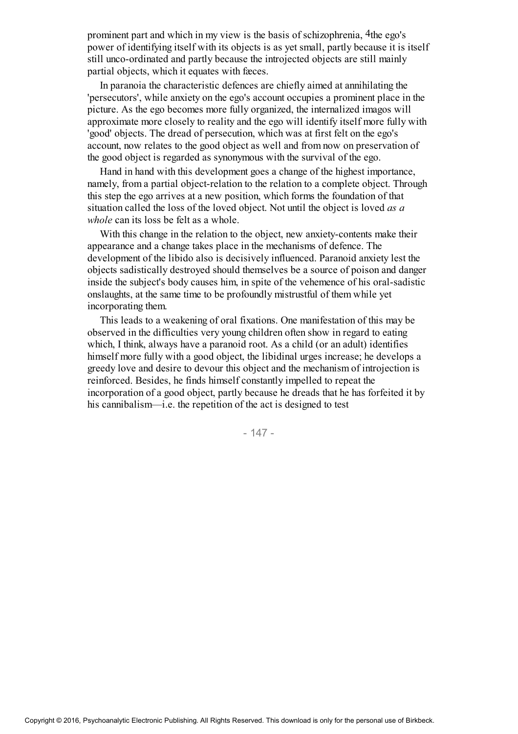prominent part and which in my view is the basis of schizophrenia, <sup>4</sup>the ego's power of identifying itself with its objects is as yet small, partly because it is itself still unco-ordinated and partly because the introjected objects are still mainly partial objects, which it equates with fæces.

In paranoia the characteristic defences are chiefly aimed at annihilating the 'persecutors', while anxiety on the ego's account occupies a prominent place in the picture. As the ego becomes more fully organized, the internalized imagos will approximate more closely to reality and the ego will identify itself more fully with 'good' objects. The dread of persecution, which was at first felt on the ego's account, now relates to the good object as well and fromnow on preservation of the good object is regarded as synonymous with the survival of the ego.

Hand in hand with this development goes a change of the highest importance, namely, froma partial object-relation to the relation to a complete object. Through this step the ego arrives at a new position, which forms the foundation of that situation called the loss of the loved object. Not until the object is loved *as a whole* can its loss be felt as a whole.

With this change in the relation to the object, new anxiety-contents make their appearance and a change takes place in the mechanisms of defence. The development of the libido also is decisively influenced. Paranoid anxiety lest the objects sadistically destroyed should themselves be a source of poison and danger inside the subject's body causes him, in spite of the vehemence of his oral-sadistic onslaughts, at the same time to be profoundly mistrustful of themwhile yet incorporating them.

This leads to a weakening of oral fixations. One manifestation of this may be observed in the difficulties very young children often show in regard to eating which, I think, always have a paranoid root. As a child (or an adult) identifies himself more fully with a good object, the libidinal urges increase; he develops a greedy love and desire to devour this object and the mechanismof introjection is reinforced. Besides, he finds himself constantly impelled to repeat the incorporation of a good object, partly because he dreads that he has forfeited it by his cannibalism—i.e. the repetition of the act is designed to test

- 147 -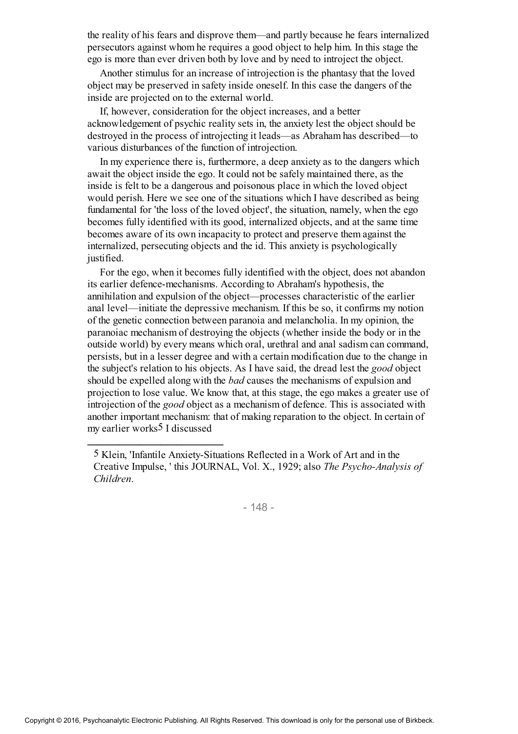the reality of his fears and disprove them—and partly because he fears internalized persecutors against whomhe requires a good object to help him. In this stage the ego is more than ever driven both by love and by need to introject the object.

Another stimulus for an increase of introjection is the phantasy that the loved object may be preserved in safety inside oneself. In this case the dangers of the inside are projected on to the external world.

If, however, consideration for the object increases, and a better acknowledgement of psychic reality sets in, the anxiety lest the object should be destroyed in the process of introjecting it leads—as Abrahamhas described—to various disturbances of the function of introjection.

In my experience there is, furthermore, a deep anxiety as to the dangers which await the object inside the ego. It could not be safely maintained there, as the inside is felt to be a dangerous and poisonous place in which the loved object would perish. Here we see one of the situations which I have described as being fundamental for 'the loss of the loved object', the situation, namely, when the ego becomes fully identified with its good, internalized objects, and at the same time becomes aware of its own incapacity to protect and preserve themagainst the internalized, persecuting objects and the id. This anxiety is psychologically justified.

For the ego, when it becomes fully identified with the object, does not abandon its earlier defence-mechanisms. According to Abraham's hypothesis, the annihilation and expulsion of the object—processes characteristic of the earlier anal level—initiate the depressive mechanism. If this be so, it confirms my notion of the genetic connection between paranoia and melancholia. In my opinion, the paranoiac mechanismof destroying the objects (whether inside the body or in the outside world) by every means which oral, urethral and anal sadismcan command, persists, but in a lesser degree and with a certain modification due to the change in the subject's relation to his objects. As I have said, the dread lest the *good* object should be expelled along with the *bad* causes the mechanisms of expulsion and projection to lose value. We know that, at this stage, the ego makes a greater use of introjection of the *good* object as a mechanismof defence. This is associated with another important mechanism: that of making reparation to the object. In certain of my earlier works<sup>5</sup> I discussed

- 148 -

<sup>—————————————</sup> 5 Klein, 'Infantile Anxiety-Situations Reflected in a Work of Art and in the Creative Impulse, ' this JOURNAL, Vol. X., 1929; also *The Psycho-Analysis of Children*.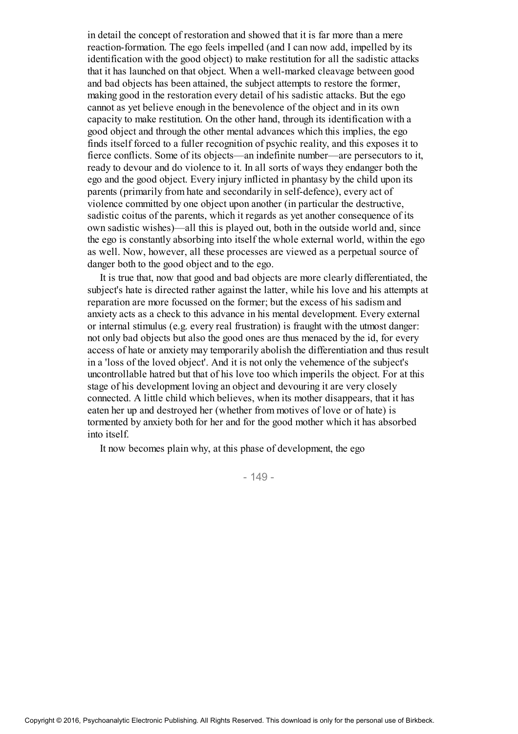in detail the concept of restoration and showed that it is far more than a mere reaction-formation. The ego feels impelled (and I can now add, impelled by its identification with the good object) to make restitution for all the sadistic attacks that it has launched on that object. When a well-marked cleavage between good and bad objects has been attained, the subject attempts to restore the former, making good in the restoration every detail of his sadistic attacks. But the ego cannot as yet believe enough in the benevolence of the object and in its own capacity to make restitution. On the other hand, through its identification with a good object and through the other mental advances which this implies, the ego finds itself forced to a fuller recognition of psychic reality, and this exposes it to fierce conflicts. Some of its objects—an indefinite number—are persecutors to it, ready to devour and do violence to it. In all sorts of ways they endanger both the ego and the good object. Every injury inflicted in phantasy by the child upon its parents (primarily fromhate and secondarily in self-defence), every act of violence committed by one object upon another (in particular the destructive, sadistic coitus of the parents, which it regards as yet another consequence of its own sadistic wishes)—all this is played out, both in the outside world and, since the ego is constantly absorbing into itself the whole external world, within the ego as well. Now, however, all these processes are viewed as a perpetual source of danger both to the good object and to the ego.

It is true that, now that good and bad objects are more clearly differentiated, the subject's hate is directed rather against the latter, while his love and his attempts at reparation are more focussed on the former; but the excess of his sadismand anxiety acts as a check to this advance in his mental development. Every external or internal stimulus (e.g. every real frustration) is fraught with the utmost danger: not only bad objects but also the good ones are thus menaced by the id, for every access of hate or anxiety may temporarily abolish the differentiation and thus result in a 'loss of the loved object'. And it is not only the vehemence of the subject's uncontrollable hatred but that of his love too which imperils the object. For at this stage of his development loving an object and devouring it are very closely connected. A little child which believes, when its mother disappears, that it has eaten her up and destroyed her (whether frommotives of love or of hate) is tormented by anxiety both for her and for the good mother which it has absorbed into itself.

It now becomes plain why, at this phase of development, the ego

- 149 -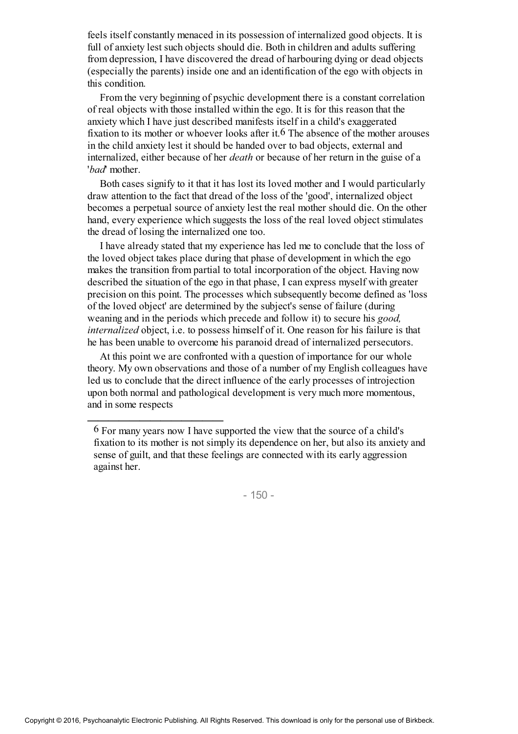feels itself constantly menaced in its possession of internalized good objects. It is full of anxiety lest such objects should die. Both in children and adults suffering fromdepression, I have discovered the dread of harbouring dying or dead objects (especially the parents) inside one and an identification of the ego with objects in this condition.

Fromthe very beginning of psychic development there is a constant correlation of real objects with those installed within the ego. It is for this reason that the anxiety which I have just described manifests itself in a child's exaggerated fixation to its mother or whoever looks after it.<sup>6</sup> The absence of the mother arouses in the child anxiety lest it should be handed over to bad objects, external and internalized, either because of her *death* or because of her return in the guise of a '*bad*' mother.

Both cases signify to it that it has lost its loved mother and I would particularly draw attention to the fact that dread of the loss of the 'good', internalized object becomes a perpetual source of anxiety lest the real mother should die. On the other hand, every experience which suggests the loss of the real loved object stimulates the dread of losing the internalized one too.

I have already stated that my experience has led me to conclude that the loss of the loved object takes place during that phase of development in which the ego makes the transition frompartial to total incorporation of the object. Having now described the situation of the ego in that phase, I can express myself with greater precision on this point. The processes which subsequently become defined as 'loss of the loved object' are determined by the subject's sense of failure (during weaning and in the periods which precede and follow it) to secure his *good, internalized* object, i.e. to possess himself of it. One reason for his failure is that he has been unable to overcome his paranoid dread of internalized persecutors.

At this point we are confronted with a question of importance for our whole theory. My own observations and those of a number of my English colleagues have led us to conclude that the direct influence of the early processes of introjection upon both normal and pathological development is very much more momentous, and in some respects

 $-150 -$ 

 $\frac{1}{2}$ For many years now I have supported the view that the source of a child's 6 fixation to its mother is not simply its dependence on her, but also its anxiety and sense of guilt, and that these feelings are connected with its early aggression against her.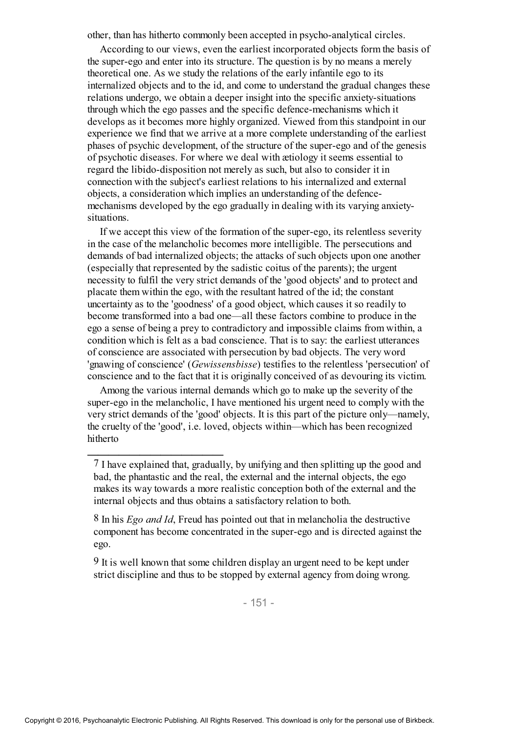other, than has hitherto commonly been accepted in psycho-analytical circles.

According to our views, even the earliest incorporated objects formthe basis of the super-ego and enter into its structure. The question is by no means a merely theoretical one. As we study the relations of the early infantile ego to its internalized objects and to the id, and come to understand the gradual changes these relations undergo, we obtain a deeper insight into the specific anxiety-situations through which the ego passes and the specific defence-mechanisms which it develops as it becomes more highly organized. Viewed fromthis standpoint in our experience we find that we arrive at a more complete understanding of the earliest phases of psychic development, of the structure of the super-ego and of the genesis of psychotic diseases. For where we deal with ætiology it seems essential to regard the libido-disposition not merely as such, but also to consider it in connection with the subject's earliest relations to his internalized and external objects, a consideration which implies an understanding of the defencemechanisms developed by the ego gradually in dealing with its varying anxietysituations.

If we accept this view of the formation of the super-ego, its relentless severity in the case of the melancholic becomes more intelligible. The persecutions and demands of bad internalized objects; the attacks of such objects upon one another (especially that represented by the sadistic coitus of the parents); the urgent necessity to fulfil the very strict demands of the 'good objects' and to protect and placate themwithin the ego, with the resultant hatred of the id; the constant uncertainty as to the 'goodness' of a good object, which causes it so readily to become transformed into a bad one—all these factors combine to produce in the ego a sense of being a prey to contradictory and impossible claims fromwithin, a condition which is felt as a bad conscience. That is to say: the earliest utterances of conscience are associated with persecution by bad objects. The very word 'gnawing of conscience' (*Gewissensbisse*) testifies to the relentless 'persecution' of conscience and to the fact that it is originally conceived of as devouring its victim.

Among the various internal demands which go to make up the severity of the super-ego in the melancholic, I have mentioned his urgent need to comply with the very strict demands of the 'good' objects. It is this part of the picture only—namely, the cruelty of the 'good', i.e. loved, objects within—which has been recognized hitherto

- 151 -

<sup>—————————————</sup> I have explained that, gradually, by unifying and then splitting up the good and 7 bad, the phantastic and the real, the external and the internal objects, the ego makes its way towards a more realistic conception both of the external and the internal objects and thus obtains a satisfactory relation to both.

In his *Ego and Id*, Freud has pointed out that in melancholia the destructive 8 component has become concentrated in the super-ego and is directed against the ego.

<sup>9</sup> It is well known that some children display an urgent need to be kept under strict discipline and thus to be stopped by external agency fromdoing wrong.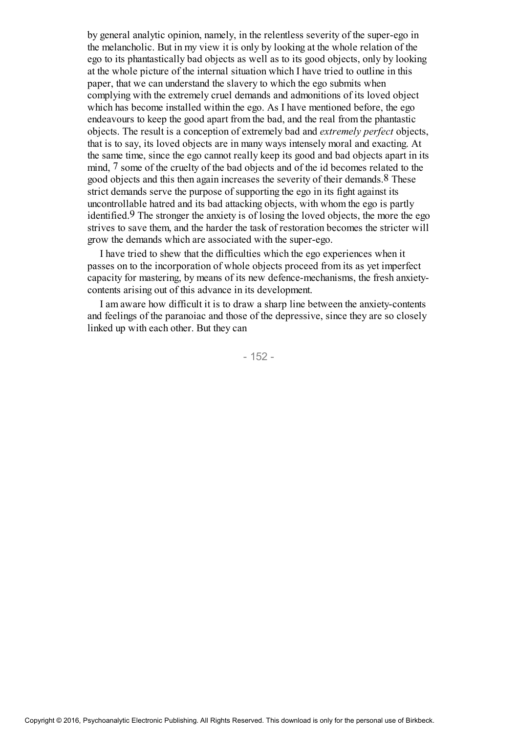by general analytic opinion, namely, in the relentless severity of the super-ego in the melancholic. But in my view it is only by looking at the whole relation of the ego to its phantastically bad objects as well as to its good objects, only by looking at the whole picture of the internal situation which I have tried to outline in this paper, that we can understand the slavery to which the ego submits when complying with the extremely cruel demands and admonitions of its loved object which has become installed within the ego. As I have mentioned before, the ego endeavours to keep the good apart fromthe bad, and the real fromthe phantastic objects. The result is a conception of extremely bad and *extremely perfect* objects, that is to say, its loved objects are in many ways intensely moral and exacting. At the same time, since the ego cannot really keep its good and bad objects apart in its mind,  $7$  some of the cruelty of the bad objects and of the id becomes related to the good objects and this then again increases the severity of their demands.<sup>8</sup> These strict demands serve the purpose of supporting the ego in its fight against its uncontrollable hatred and its bad attacking objects, with whomthe ego is partly identified.<sup>9</sup> The stronger the anxiety is of losing the loved objects, the more the ego strives to save them, and the harder the task of restoration becomes the stricter will grow the demands which are associated with the super-ego.

I have tried to shew that the difficulties which the ego experiences when it passes on to the incorporation of whole objects proceed fromits as yet imperfect capacity for mastering, by means of its new defence-mechanisms, the fresh anxietycontents arising out of this advance in its development.

I amaware how difficult it is to draw a sharp line between the anxiety-contents and feelings of the paranoiac and those of the depressive, since they are so closely linked up with each other. But they can

- 152 -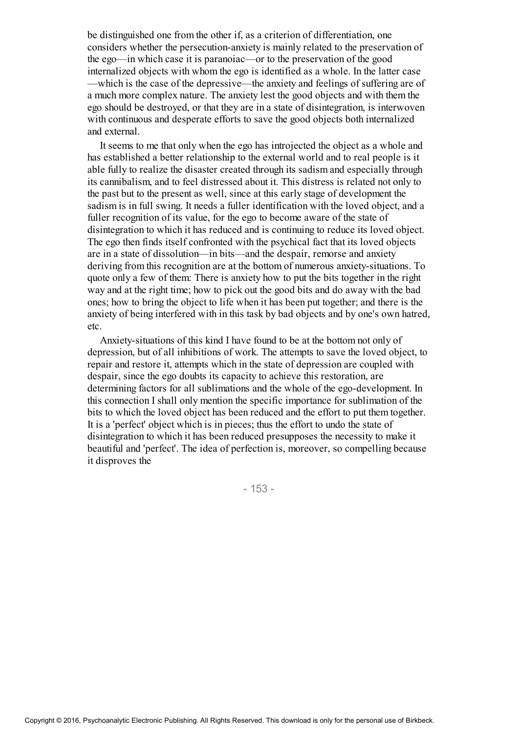be distinguished one fromthe other if, as a criterion of differentiation, one considers whether the persecution-anxiety is mainly related to the preservation of the ego—in which case it is paranoiac—or to the preservation of the good internalized objects with whomthe ego is identified as a whole. In the latter case —which is the case of the depressive—the anxiety and feelings of suffering are of a much more complex nature. The anxiety lest the good objects and with themthe ego should be destroyed, or that they are in a state of disintegration, is interwoven with continuous and desperate efforts to save the good objects both internalized and external.

It seems to me that only when the ego has introjected the object as a whole and has established a better relationship to the external world and to real people is it able fully to realize the disaster created through its sadismand especially through its cannibalism, and to feel distressed about it. This distress is related not only to the past but to the present as well, since at this early stage of development the sadismis in full swing. It needs a fuller identification with the loved object, and a fuller recognition of its value, for the ego to become aware of the state of disintegration to which it has reduced and is continuing to reduce its loved object. The ego then finds itself confronted with the psychical fact that its loved objects are in a state of dissolution—in bits—and the despair, remorse and anxiety deriving fromthis recognition are at the bottomof numerous anxiety-situations. To quote only a few of them: There is anxiety how to put the bits together in the right way and at the right time; how to pick out the good bits and do away with the bad ones; how to bring the object to life when it has been put together; and there is the anxiety of being interfered with in this task by bad objects and by one's own hatred, etc.

Anxiety-situations of this kind I have found to be at the bottomnot only of depression, but of all inhibitions of work. The attempts to save the loved object, to repair and restore it, attempts which in the state of depression are coupled with despair, since the ego doubts its capacity to achieve this restoration, are determining factors for all sublimations and the whole of the ego-development. In this connection I shall only mention the specific importance for sublimation of the bits to which the loved object has been reduced and the effort to put themtogether. It is a 'perfect' object which is in pieces; thus the effort to undo the state of disintegration to which it has been reduced presupposes the necessity to make it beautiful and 'perfect'. The idea of perfection is, moreover, so compelling because it disproves the

- 153 -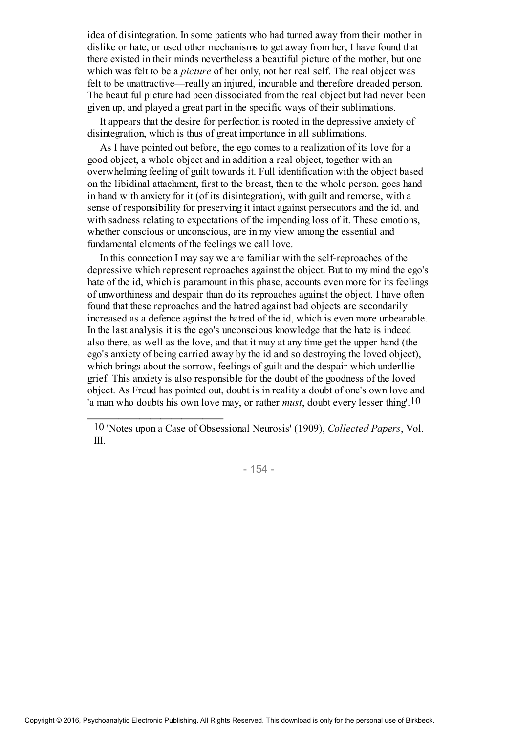idea of disintegration. In some patients who had turned away fromtheir mother in dislike or hate, or used other mechanisms to get away fromher, I have found that there existed in their minds nevertheless a beautiful picture of the mother, but one which was felt to be a *picture* of her only, not her real self. The real object was felt to be unattractive—really an injured, incurable and therefore dreaded person. The beautiful picture had been dissociated fromthe real object but had never been given up, and played a great part in the specific ways of their sublimations.

It appears that the desire for perfection is rooted in the depressive anxiety of disintegration, which is thus of great importance in all sublimations.

As I have pointed out before, the ego comes to a realization of its love for a good object, a whole object and in addition a real object, together with an overwhelming feeling of guilt towards it. Full identification with the object based on the libidinal attachment, first to the breast, then to the whole person, goes hand in hand with anxiety for it (of its disintegration), with guilt and remorse, with a sense of responsibility for preserving it intact against persecutors and the id, and with sadness relating to expectations of the impending loss of it. These emotions, whether conscious or unconscious, are in my view among the essential and fundamental elements of the feelings we call love.

In this connection I may say we are familiar with the self-reproaches of the depressive which represent reproaches against the object. But to my mind the ego's hate of the id, which is paramount in this phase, accounts even more for its feelings of unworthiness and despair than do its reproaches against the object. I have often found that these reproaches and the hatred against bad objects are secondarily increased as a defence against the hatred of the id, which is even more unbearable. In the last analysis it is the ego's unconscious knowledge that the hate is indeed also there, as well as the love, and that it may at any time get the upper hand (the ego's anxiety of being carried away by the id and so destroying the loved object), which brings about the sorrow, feelings of guilt and the despair which underllie grief. This anxiety is also responsible for the doubt of the goodness of the loved object. As Freud has pointed out, doubt is in reality a doubt of one's own love and 'a man who doubts his own love may, or rather *must*, doubt every lesser thing'. 10

- 154 -

 $\overline{10}$ 'Notes upon a Case of Obsessional Neurosis' (1909), *Collected Papers*, Vol. 10 III.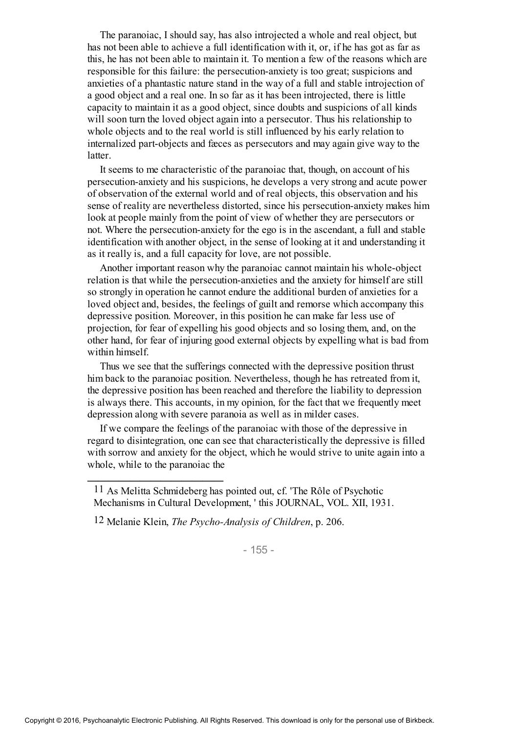The paranoiac, I should say, has also introjected a whole and real object, but has not been able to achieve a full identification with it, or, if he has got as far as this, he has not been able to maintain it. To mention a few of the reasons which are responsible for this failure: the persecution-anxiety is too great; suspicions and anxieties of a phantastic nature stand in the way of a full and stable introjection of a good object and a real one. In so far as it has been introjected, there is little capacity to maintain it as a good object, since doubts and suspicions of all kinds will soon turn the loved object again into a persecutor. Thus his relationship to whole objects and to the real world is still influenced by his early relation to internalized part-objects and fæces as persecutors and may again give way to the latter.

It seems to me characteristic of the paranoiac that, though, on account of his persecution-anxiety and his suspicions, he develops a very strong and acute power of observation of the external world and of real objects, this observation and his sense of reality are nevertheless distorted, since his persecution-anxiety makes him look at people mainly from the point of view of whether they are persecutors or not. Where the persecution-anxiety for the ego is in the ascendant, a full and stable identification with another object, in the sense of looking at it and understanding it as it really is, and a full capacity for love, are not possible.

Another important reason why the paranoiac cannot maintain his whole-object relation is that while the persecution-anxieties and the anxiety for himself are still so strongly in operation he cannot endure the additional burden of anxieties for a loved object and, besides, the feelings of guilt and remorse which accompany this depressive position. Moreover, in this position he can make far less use of projection, for fear of expelling his good objects and so losing them, and, on the other hand, for fear of injuring good external objects by expelling what is bad from within himself.

Thus we see that the sufferings connected with the depressive position thrust himback to the paranoiac position. Nevertheless, though he has retreated fromit, the depressive position has been reached and therefore the liability to depression is always there. This accounts, in my opinion, for the fact that we frequently meet depression along with severe paranoia as well as in milder cases.

If we compare the feelings of the paranoiac with those of the depressive in regard to disintegration, one can see that characteristically the depressive is filled with sorrow and anxiety for the object, which he would strive to unite again into a whole, while to the paranoiac the

- 155 -

<sup>—————————————</sup> 11 As Melitta Schmideberg has pointed out, cf. 'The Rôle of Psychotic Mechanisms in Cultural Development, ' this JOURNAL, VOL. XII, 1931.

Melanie Klein, *The Psycho-Analysis of Children*, p. 206. 12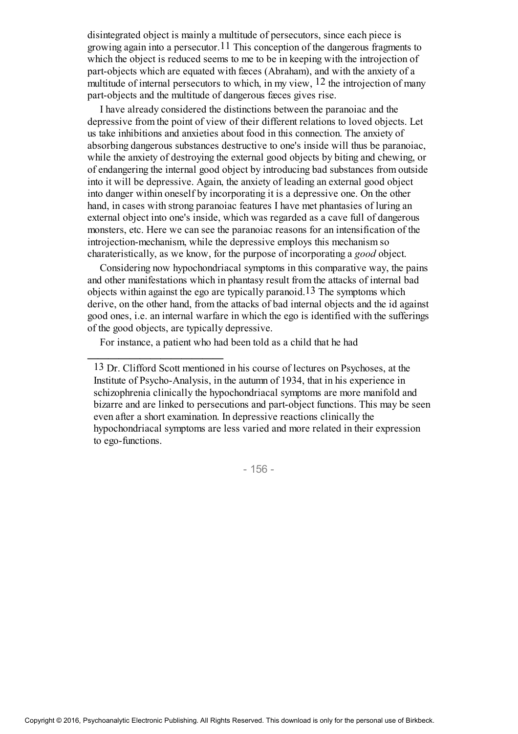disintegrated object is mainly a multitude of persecutors, since each piece is growing again into a persecutor.<sup>11</sup> This conception of the dangerous fragments to which the object is reduced seems to me to be in keeping with the introjection of part-objects which are equated with fæces (Abraham), and with the anxiety of a multitude of internal persecutors to which, in my view,  $12$  the introjection of many part-objects and the multitude of dangerous fæces gives rise.

I have already considered the distinctions between the paranoiac and the depressive fromthe point of view of their different relations to loved objects. Let us take inhibitions and anxieties about food in this connection. The anxiety of absorbing dangerous substances destructive to one's inside will thus be paranoiac, while the anxiety of destroying the external good objects by biting and chewing, or of endangering the internal good object by introducing bad substances fromoutside into it will be depressive. Again, the anxiety of leading an external good object into danger within oneself by incorporating it is a depressive one. On the other hand, in cases with strong paranoiac features I have met phantasies of luring an external object into one's inside, which was regarded as a cave full of dangerous monsters, etc. Here we can see the paranoiac reasons for an intensification of the introjection-mechanism, while the depressive employs this mechanismso charateristically, as we know, for the purpose of incorporating a *good* object.

Considering now hypochondriacal symptoms in this comparative way, the pains and other manifestations which in phantasy result fromthe attacks of internal bad objects within against the ego are typically paranoid.<sup>13</sup> The symptoms which derive, on the other hand, from the attacks of bad internal objects and the id against good ones, i.e. an internal warfare in which the ego is identified with the sufferings of the good objects, are typically depressive.

For instance, a patient who had been told as a child that he had

- 156 -

<sup>—————————————</sup> 13 Dr. Clifford Scott mentioned in his course of lectures on Psychoses, at the Institute of Psycho-Analysis, in the autumn of 1934, that in his experience in schizophrenia clinically the hypochondriacal symptoms are more manifold and bizarre and are linked to persecutions and part-object functions. This may be seen even after a short examination. In depressive reactions clinically the hypochondriacal symptoms are less varied and more related in their expression to ego-functions.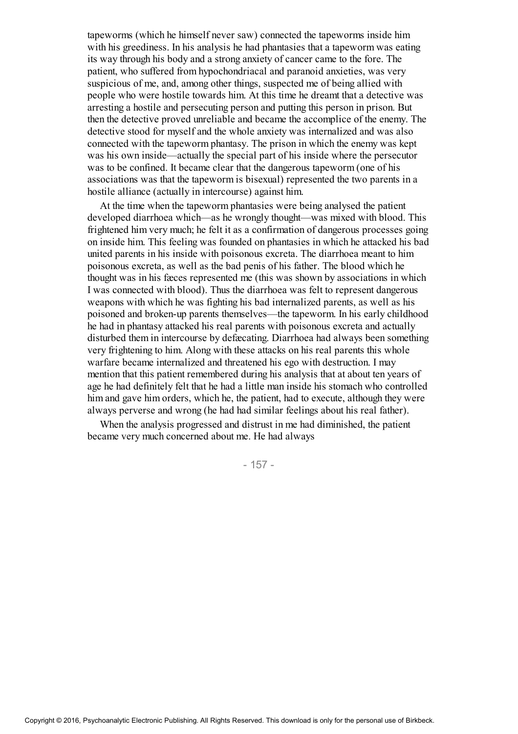tapeworms (which he himself never saw) connected the tapeworms inside him with his greediness. In his analysis he had phantasies that a tapeworm was eating its way through his body and a strong anxiety of cancer came to the fore. The patient, who suffered fromhypochondriacal and paranoid anxieties, was very suspicious of me, and, among other things, suspected me of being allied with people who were hostile towards him. At this time he dreamt that a detective was arresting a hostile and persecuting person and putting this person in prison. But then the detective proved unreliable and became the accomplice of the enemy. The detective stood for myself and the whole anxiety was internalized and was also connected with the tapewormphantasy. The prison in which the enemy was kept was his own inside—actually the special part of his inside where the persecutor was to be confined. It became clear that the dangerous tapeworm(one of his associations was that the tapewormis bisexual) represented the two parents in a hostile alliance (actually in intercourse) against him.

At the time when the tapewormphantasies were being analysed the patient developed diarrhoea which—as he wrongly thought—was mixed with blood. This frightened himvery much; he felt it as a confirmation of dangerous processes going on inside him. This feeling was founded on phantasies in which he attacked his bad united parents in his inside with poisonous excreta. The diarrhoea meant to him poisonous excreta, as well as the bad penis of his father. The blood which he thought was in his fæces represented me (this was shown by associations in which I was connected with blood). Thus the diarrhoea was felt to represent dangerous weapons with which he was fighting his bad internalized parents, as well as his poisoned and broken-up parents themselves—the tapeworm. In his early childhood he had in phantasy attacked his real parents with poisonous excreta and actually disturbed themin intercourse by defæcating. Diarrhoea had always been something very frightening to him. Along with these attacks on his real parents this whole warfare became internalized and threatened his ego with destruction. I may mention that this patient remembered during his analysis that at about ten years of age he had definitely felt that he had a little man inside his stomach who controlled himand gave himorders, which he, the patient, had to execute, although they were always perverse and wrong (he had had similar feelings about his real father).

When the analysis progressed and distrust in me had diminished, the patient became very much concerned about me. He had always

- 157 -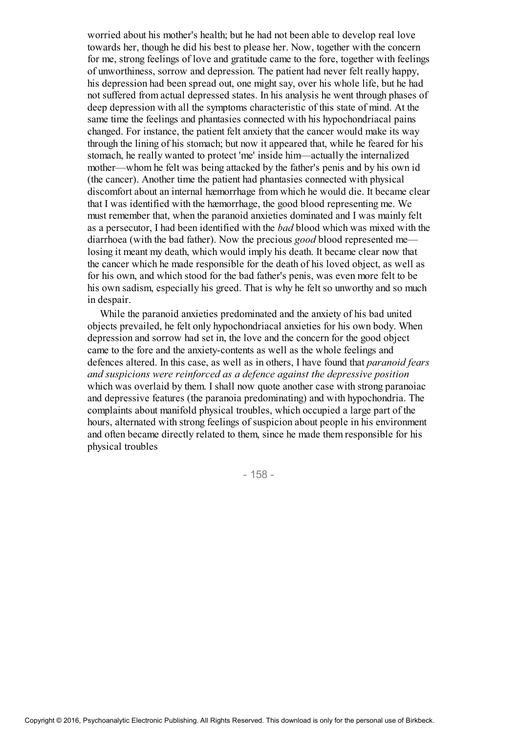worried about his mother's health; but he had not been able to develop real love towards her, though he did his best to please her. Now, together with the concern for me, strong feelings of love and gratitude came to the fore, together with feelings of unworthiness, sorrow and depression. The patient had never felt really happy, his depression had been spread out, one might say, over his whole life, but he had not suffered fromactual depressed states. In his analysis he went through phases of deep depression with all the symptoms characteristic of this state of mind. At the same time the feelings and phantasies connected with his hypochondriacal pains changed. For instance, the patient felt anxiety that the cancer would make its way through the lining of his stomach; but now it appeared that, while he feared for his stomach, he really wanted to protect 'me' inside him—actually the internalized mother—whomhe felt was being attacked by the father's penis and by his own id (the cancer). Another time the patient had phantasies connected with physical discomfort about an internal hæmorrhage fromwhich he would die. It became clear that I was identified with the hæmorrhage, the good blood representing me. We must remember that, when the paranoid anxieties dominated and I was mainly felt as a persecutor, I had been identified with the *bad* blood which was mixed with the diarrhoea (with the bad father). Now the precious *good* blood represented me losing it meant my death, which would imply his death. It became clear now that the cancer which he made responsible for the death of his loved object, as well as for his own, and which stood for the bad father's penis, was even more felt to be his own sadism, especially his greed. That is why he felt so unworthy and so much in despair.

While the paranoid anxieties predominated and the anxiety of his bad united objects prevailed, he felt only hypochondriacal anxieties for his own body. When depression and sorrow had set in, the love and the concern for the good object came to the fore and the anxiety-contents as well as the whole feelings and defences altered. In this case, as well as in others, I have found that *paranoid fears and suspicions were reinforced as a defence against the depressive position* which was overlaid by them. I shall now quote another case with strong paranoiac and depressive features (the paranoia predominating) and with hypochondria. The complaints about manifold physical troubles, which occupied a large part of the hours, alternated with strong feelings of suspicion about people in his environment and often became directly related to them, since he made themresponsible for his physical troubles

- 158 -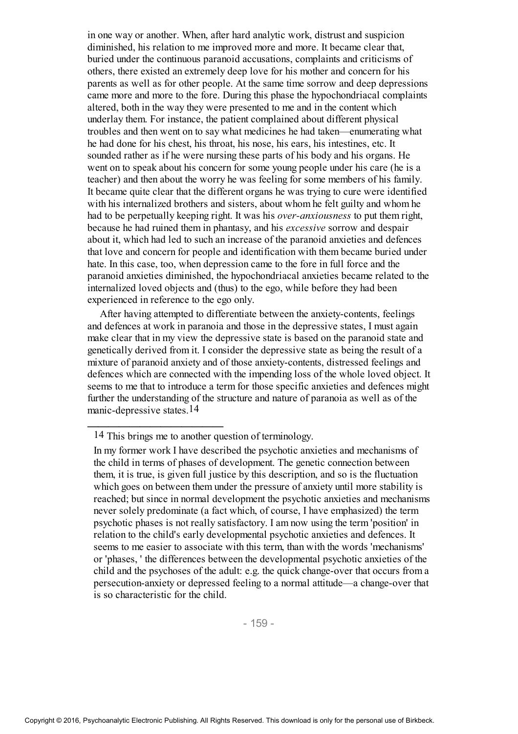in one way or another. When, after hard analytic work, distrust and suspicion diminished, his relation to me improved more and more. It became clear that, buried under the continuous paranoid accusations, complaints and criticisms of others, there existed an extremely deep love for his mother and concern for his parents as well as for other people. At the same time sorrow and deep depressions came more and more to the fore. During this phase the hypochondriacal complaints altered, both in the way they were presented to me and in the content which underlay them. For instance, the patient complained about different physical troubles and then went on to say what medicines he had taken—enumerating what he had done for his chest, his throat, his nose, his ears, his intestines, etc. It sounded rather as if he were nursing these parts of his body and his organs. He went on to speak about his concern for some young people under his care (he is a teacher) and then about the worry he was feeling for some members of his family. It became quite clear that the different organs he was trying to cure were identified with his internalized brothers and sisters, about whom he felt guilty and whom he had to be perpetually keeping right. It was his *over-anxiousness* to put themright, because he had ruined themin phantasy, and his *excessive* sorrow and despair about it, which had led to such an increase of the paranoid anxieties and defences that love and concern for people and identification with thembecame buried under hate. In this case, too, when depression came to the fore in full force and the paranoid anxieties diminished, the hypochondriacal anxieties became related to the internalized loved objects and (thus) to the ego, while before they had been experienced in reference to the ego only.

After having attempted to differentiate between the anxiety-contents, feelings and defences at work in paranoia and those in the depressive states, I must again make clear that in my view the depressive state is based on the paranoid state and genetically derived fromit. I consider the depressive state as being the result of a mixture of paranoid anxiety and of those anxiety-contents, distressed feelings and defences which are connected with the impending loss of the whole loved object. It seems to me that to introduce a term for those specific anxieties and defences might further the understanding of the structure and nature of paranoia as well as of the manic-depressive states. 14

<sup>—————————————</sup> 14 This brings me to another question of terminology.

In my former work I have described the psychotic anxieties and mechanisms of the child in terms of phases of development. The genetic connection between them, it is true, is given full justice by this description, and so is the fluctuation which goes on between themunder the pressure of anxiety until more stability is reached; but since in normal development the psychotic anxieties and mechanisms never solely predominate (a fact which, of course, I have emphasized) the term psychotic phases is not really satisfactory. I amnow using the term'position' in relation to the child's early developmental psychotic anxieties and defences. It seems to me easier to associate with this term, than with the words 'mechanisms' or 'phases, ' the differences between the developmental psychotic anxieties of the child and the psychoses of the adult: e.g. the quick change-over that occurs froma persecution-anxiety or depressed feeling to a normal attitude—a change-over that is so characteristic for the child.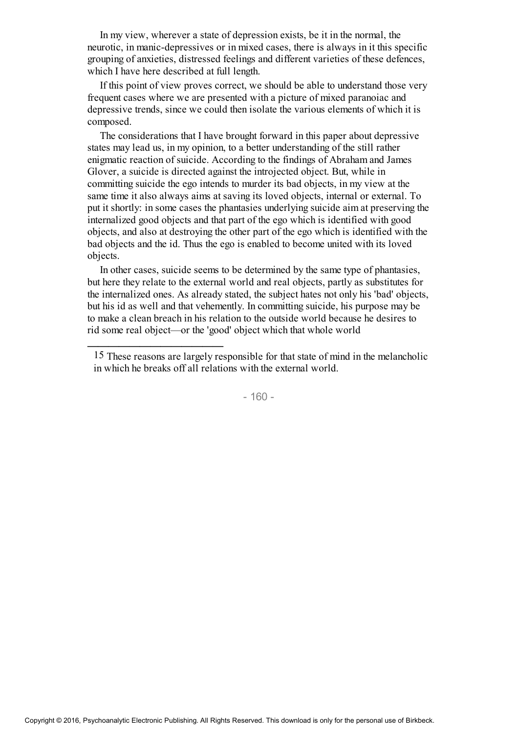In my view, wherever a state of depression exists, be it in the normal, the neurotic, in manic-depressives or in mixed cases, there is always in it this specific grouping of anxieties, distressed feelings and different varieties of these defences, which I have here described at full length.

If this point of view proves correct, we should be able to understand those very frequent cases where we are presented with a picture of mixed paranoiac and depressive trends, since we could then isolate the various elements of which it is composed.

The considerations that I have brought forward in this paper about depressive states may lead us, in my opinion, to a better understanding of the still rather enigmatic reaction of suicide. According to the findings of Abrahamand James Glover, a suicide is directed against the introjected object. But, while in committing suicide the ego intends to murder its bad objects, in my view at the same time it also always aims at saving its loved objects, internal or external. To put it shortly: in some cases the phantasies underlying suicide aimat preserving the internalized good objects and that part of the ego which is identified with good objects, and also at destroying the other part of the ego which is identified with the bad objects and the id. Thus the ego is enabled to become united with its loved objects.

In other cases, suicide seems to be determined by the same type of phantasies, but here they relate to the external world and real objects, partly as substitutes for the internalized ones. As already stated, the subject hates not only his 'bad' objects, but his id as well and that vehemently. In committing suicide, his purpose may be to make a clean breach in his relation to the outside world because he desires to rid some real object—or the 'good' object which that whole world

 $-160 -$ 

<sup>—————————————</sup> 15 These reasons are largely responsible for that state of mind in the melancholic in which he breaks off all relations with the external world.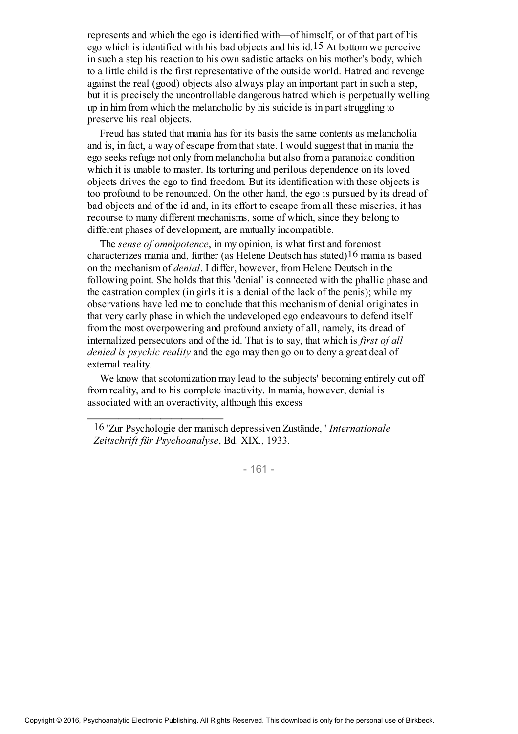represents and which the ego is identified with—of himself, or of that part of his ego which is identified with his bad objects and his  $id.15$  At bottom we perceive in such a step his reaction to his own sadistic attacks on his mother's body, which to a little child is the first representative of the outside world. Hatred and revenge against the real (good) objects also always play an important part in such a step, but it is precisely the uncontrollable dangerous hatred which is perpetually welling up in himfromwhich the melancholic by his suicide is in part struggling to preserve his real objects.

Freud has stated that mania has for its basis the same contents as melancholia and is, in fact, a way of escape fromthat state. I would suggest that in mania the ego seeks refuge not only frommelancholia but also froma paranoiac condition which it is unable to master. Its torturing and perilous dependence on its loved objects drives the ego to find freedom. But its identification with these objects is too profound to be renounced. On the other hand, the ego is pursued by its dread of bad objects and of the id and, in its effort to escape fromall these miseries, it has recourse to many different mechanisms, some of which, since they belong to different phases of development, are mutually incompatible.

The *sense of omnipotence*, in my opinion, is what first and foremost characterizes mania and, further (as Helene Deutsch has stated) $16$  mania is based on the mechanismof *denial*. I differ, however, fromHelene Deutsch in the following point. She holds that this 'denial' is connected with the phallic phase and the castration complex (in girls it is a denial of the lack of the penis); while my observations have led me to conclude that this mechanismof denial originates in that very early phase in which the undeveloped ego endeavours to defend itself fromthe most overpowering and profound anxiety of all, namely, its dread of internalized persecutors and of the id. That is to say, that which is *first of all denied is psychic reality* and the ego may then go on to deny a great deal of external reality.

We know that scotomization may lead to the subjects' becoming entirely cut off fromreality, and to his complete inactivity. In mania, however, denial is associated with an overactivity, although this excess

 $\overline{\phantom{a}}$ 'Zur Psychologie der manisch depressiven Zustände, ' *Internationale* 16 *Zeitschrift für Psychoanalyse*, Bd. XIX., 1933.

- 161 -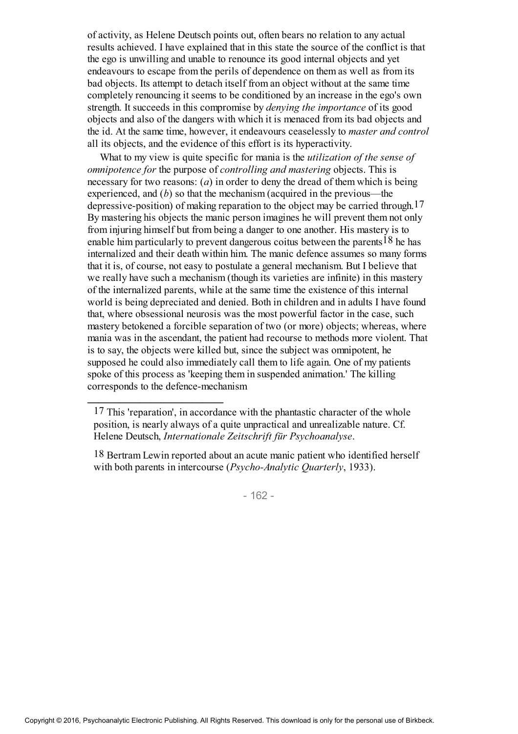of activity, as Helene Deutsch points out, often bears no relation to any actual results achieved. I have explained that in this state the source of the conflict is that the ego is unwilling and unable to renounce its good internal objects and yet endeavours to escape from the perils of dependence on them as well as from its bad objects. Its attempt to detach itself froman object without at the same time completely renouncing it seems to be conditioned by an increase in the ego's own strength. It succeeds in this compromise by *denying the importance* of its good objects and also of the dangers with which it is menaced fromits bad objects and the id. At the same time, however, it endeavours ceaselessly to *master and control* all its objects, and the evidence of this effort is its hyperactivity.

What to my view is quite specific for mania is the *utilization of the sense of omnipotence for* the purpose of *controlling and mastering* objects. This is necessary for two reasons: (*a*) in order to deny the dread of themwhich is being experienced, and (*b*) so that the mechanism(acquired in the previous—the depressive-position) of making reparation to the object may be carried through. 17 By mastering his objects the manic person imagines he will prevent themnot only frominjuring himself but frombeing a danger to one another. His mastery is to enable him particularly to prevent dangerous coitus between the parents  $\frac{18}{8}$  he has internalized and their death within him. The manic defence assumes so many forms that it is, of course, not easy to postulate a general mechanism. But I believe that we really have such a mechanism(though its varieties are infinite) in this mastery of the internalized parents, while at the same time the existence of this internal world is being depreciated and denied. Both in children and in adults I have found that, where obsessional neurosis was the most powerful factor in the case, such mastery betokened a forcible separation of two (or more) objects; whereas, where mania was in the ascendant, the patient had recourse to methods more violent. That is to say, the objects were killed but, since the subject was omnipotent, he supposed he could also immediately call themto life again. One of my patients spoke of this process as 'keeping themin suspended animation.' The killing corresponds to the defence-mechanism

- 162 -

 $\frac{1}{2}$ 17 This 'reparation', in accordance with the phantastic character of the whole position, is nearly always of a quite unpractical and unrealizable nature. Cf. Helene Deutsch, *Internationale Zeitschrift für Psychoanalyse*.

<sup>18</sup> Bertram Lewin reported about an acute manic patient who identified herself with both parents in intercourse (*Psycho-Analytic Quarterly*, 1933).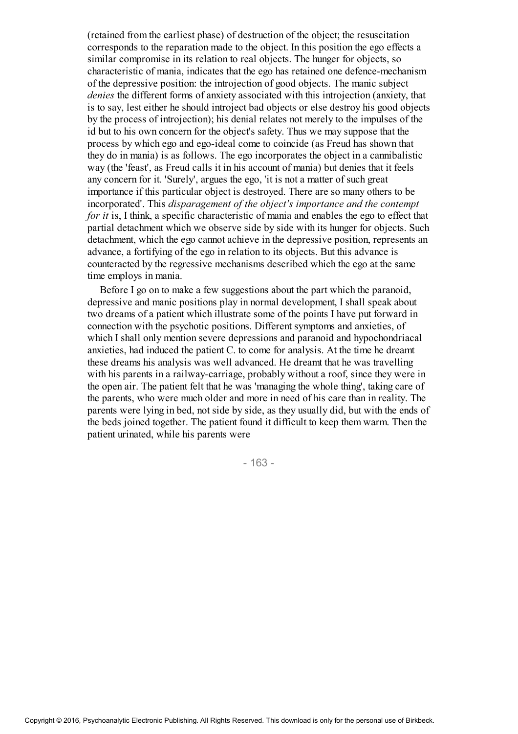(retained fromthe earliest phase) of destruction of the object; the resuscitation corresponds to the reparation made to the object. In this position the ego effects a similar compromise in its relation to real objects. The hunger for objects, so characteristic of mania, indicates that the ego has retained one defence-mechanism of the depressive position: the introjection of good objects. The manic subject *denies* the different forms of anxiety associated with this introjection (anxiety, that is to say, lest either he should introject bad objects or else destroy his good objects by the process of introjection); his denial relates not merely to the impulses of the id but to his own concern for the object's safety. Thus we may suppose that the process by which ego and ego-ideal come to coincide (as Freud has shown that they do in mania) is as follows. The ego incorporates the object in a cannibalistic way (the 'feast', as Freud calls it in his account of mania) but denies that it feels any concern for it. 'Surely', argues the ego, 'it is not a matter of such great importance if this particular object is destroyed. There are so many others to be incorporated'. This *disparagement of the object's importance and the contempt for it* is, I think, a specific characteristic of mania and enables the ego to effect that partial detachment which we observe side by side with its hunger for objects. Such detachment, which the ego cannot achieve in the depressive position, represents an advance, a fortifying of the ego in relation to its objects. But this advance is counteracted by the regressive mechanisms described which the ego at the same time employs in mania.

Before I go on to make a few suggestions about the part which the paranoid, depressive and manic positions play in normal development, I shall speak about two dreams of a patient which illustrate some of the points I have put forward in connection with the psychotic positions. Different symptoms and anxieties, of which I shall only mention severe depressions and paranoid and hypochondriacal anxieties, had induced the patient C. to come for analysis. At the time he dreamt these dreams his analysis was well advanced. He dreamt that he was travelling with his parents in a railway-carriage, probably without a roof, since they were in the open air. The patient felt that he was 'managing the whole thing', taking care of the parents, who were much older and more in need of his care than in reality. The parents were lying in bed, not side by side, as they usually did, but with the ends of the beds joined together. The patient found it difficult to keep themwarm. Then the patient urinated, while his parents were

- 163 -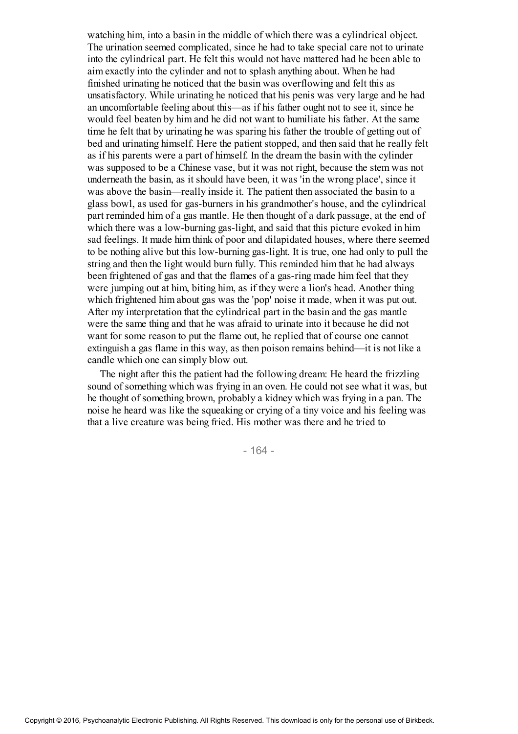watching him, into a basin in the middle of which there was a cylindrical object. The urination seemed complicated, since he had to take special care not to urinate into the cylindrical part. He felt this would not have mattered had he been able to aimexactly into the cylinder and not to splash anything about. When he had finished urinating he noticed that the basin was overflowing and felt this as unsatisfactory. While urinating he noticed that his penis was very large and he had an uncomfortable feeling about this—as if his father ought not to see it, since he would feel beaten by himand he did not want to humiliate his father. At the same time he felt that by urinating he was sparing his father the trouble of getting out of bed and urinating himself. Here the patient stopped, and then said that he really felt as if his parents were a part of himself. In the dreamthe basin with the cylinder was supposed to be a Chinese vase, but it was not right, because the stemwas not underneath the basin, as it should have been, it was 'in the wrong place', since it was above the basin—really inside it. The patient then associated the basin to a glass bowl, as used for gas-burners in his grandmother's house, and the cylindrical part reminded himof a gas mantle. He then thought of a dark passage, at the end of which there was a low-burning gas-light, and said that this picture evoked in him sad feelings. It made him think of poor and dilapidated houses, where there seemed to be nothing alive but this low-burning gas-light. It is true, one had only to pull the string and then the light would burn fully. This reminded himthat he had always been frightened of gas and that the flames of a gas-ring made himfeel that they were jumping out at him, biting him, as if they were a lion's head. Another thing which frightened himabout gas was the 'pop' noise it made, when it was put out. After my interpretation that the cylindrical part in the basin and the gas mantle were the same thing and that he was afraid to urinate into it because he did not want for some reason to put the flame out, he replied that of course one cannot extinguish a gas flame in this way, as then poison remains behind—it is not like a candle which one can simply blow out.

The night after this the patient had the following dream: He heard the frizzling sound of something which was frying in an oven. He could not see what it was, but he thought of something brown, probably a kidney which was frying in a pan. The noise he heard was like the squeaking or crying of a tiny voice and his feeling was that a live creature was being fried. His mother was there and he tried to

- 164 -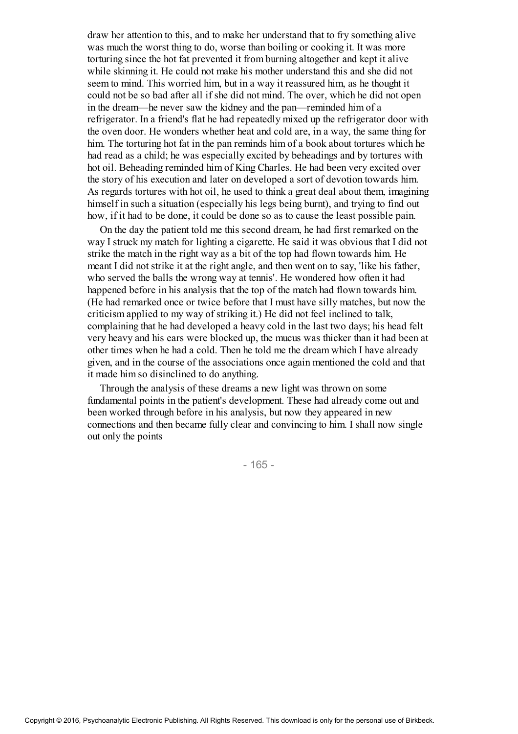draw her attention to this, and to make her understand that to fry something alive was much the worst thing to do, worse than boiling or cooking it. It was more torturing since the hot fat prevented it fromburning altogether and kept it alive while skinning it. He could not make his mother understand this and she did not seemto mind. This worried him, but in a way it reassured him, as he thought it could not be so bad after all if she did not mind. The over, which he did not open in the dream—he never saw the kidney and the pan—reminded himof a refrigerator. In a friend's flat he had repeatedly mixed up the refrigerator door with the oven door. He wonders whether heat and cold are, in a way, the same thing for him. The torturing hot fat in the pan reminds himof a book about tortures which he had read as a child; he was especially excited by beheadings and by tortures with hot oil. Beheading reminded himof King Charles. He had been very excited over the story of his execution and later on developed a sort of devotion towards him. As regards tortures with hot oil, he used to think a great deal about them, imagining himself in such a situation (especially his legs being burnt), and trying to find out how, if it had to be done, it could be done so as to cause the least possible pain.

On the day the patient told me this second dream, he had first remarked on the way I struck my match for lighting a cigarette. He said it was obvious that I did not strike the match in the right way as a bit of the top had flown towards him. He meant I did not strike it at the right angle, and then went on to say, 'like his father, who served the balls the wrong way at tennis'. He wondered how often it had happened before in his analysis that the top of the match had flown towards him. (He had remarked once or twice before that I must have silly matches, but now the criticismapplied to my way of striking it.) He did not feel inclined to talk, complaining that he had developed a heavy cold in the last two days; his head felt very heavy and his ears were blocked up, the mucus was thicker than it had been at other times when he had a cold. Then he told me the dreamwhich I have already given, and in the course of the associations once again mentioned the cold and that it made himso disinclined to do anything.

Through the analysis of these dreams a new light was thrown on some fundamental points in the patient's development. These had already come out and been worked through before in his analysis, but now they appeared in new connections and then became fully clear and convincing to him. I shall now single out only the points

- 165 -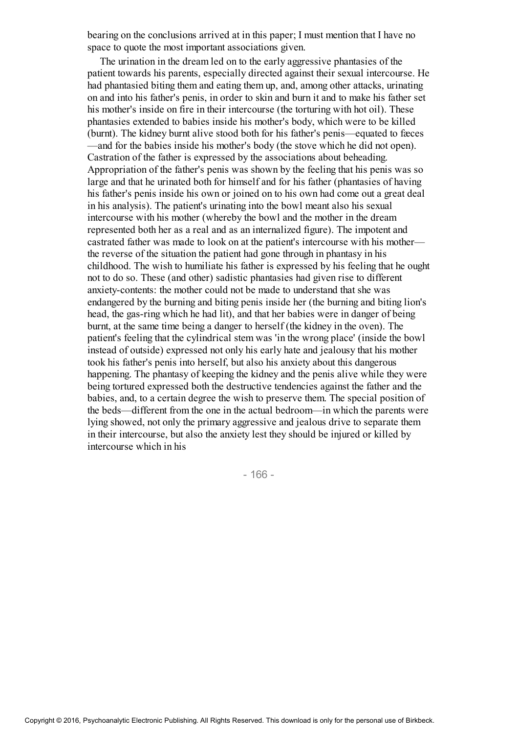bearing on the conclusions arrived at in this paper; I must mention that I have no space to quote the most important associations given.

The urination in the dreamled on to the early aggressive phantasies of the patient towards his parents, especially directed against their sexual intercourse. He had phantasied biting them and eating them up, and, among other attacks, urinating on and into his father's penis, in order to skin and burn it and to make his father set his mother's inside on fire in their intercourse (the torturing with hot oil). These phantasies extended to babies inside his mother's body, which were to be killed (burnt). The kidney burnt alive stood both for his father's penis—equated to fæces —and for the babies inside his mother's body (the stove which he did not open). Castration of the father is expressed by the associations about beheading. Appropriation of the father's penis was shown by the feeling that his penis was so large and that he urinated both for himself and for his father (phantasies of having his father's penis inside his own or joined on to his own had come out a great deal in his analysis). The patient's urinating into the bowl meant also his sexual intercourse with his mother (whereby the bowl and the mother in the dream represented both her as a real and as an internalized figure). The impotent and castrated father was made to look on at the patient's intercourse with his mother the reverse of the situation the patient had gone through in phantasy in his childhood. The wish to humiliate his father is expressed by his feeling that he ought not to do so. These (and other) sadistic phantasies had given rise to different anxiety-contents: the mother could not be made to understand that she was endangered by the burning and biting penis inside her (the burning and biting lion's head, the gas-ring which he had lit), and that her babies were in danger of being burnt, at the same time being a danger to herself (the kidney in the oven). The patient's feeling that the cylindrical stemwas 'in the wrong place' (inside the bowl instead of outside) expressed not only his early hate and jealousy that his mother took his father's penis into herself, but also his anxiety about this dangerous happening. The phantasy of keeping the kidney and the penis alive while they were being tortured expressed both the destructive tendencies against the father and the babies, and, to a certain degree the wish to preserve them. The special position of the beds—different fromthe one in the actual bedroom—in which the parents were lying showed, not only the primary aggressive and jealous drive to separate them in their intercourse, but also the anxiety lest they should be injured or killed by intercourse which in his

- 166 -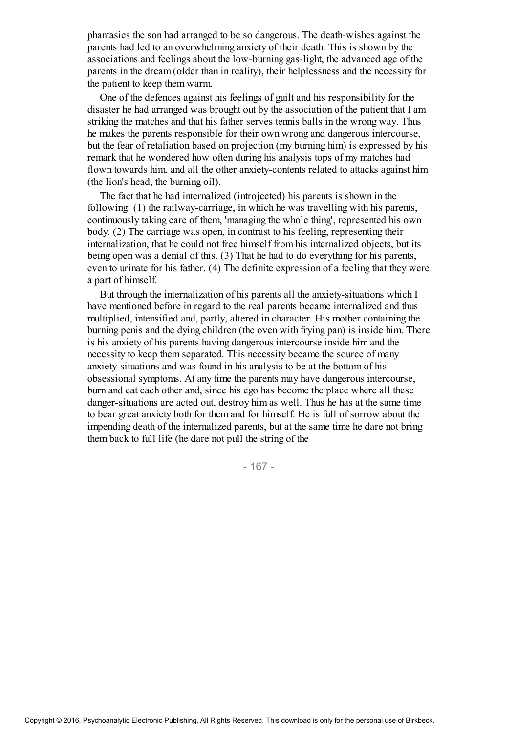phantasies the son had arranged to be so dangerous. The death-wishes against the parents had led to an overwhelming anxiety of their death. This is shown by the associations and feelings about the low-burning gas-light, the advanced age of the parents in the dream(older than in reality), their helplessness and the necessity for the patient to keep themwarm.

One of the defences against his feelings of guilt and his responsibility for the disaster he had arranged was brought out by the association of the patient that I am striking the matches and that his father serves tennis balls in the wrong way. Thus he makes the parents responsible for their own wrong and dangerous intercourse, but the fear of retaliation based on projection (my burning him) is expressed by his remark that he wondered how often during his analysis tops of my matches had flown towards him, and all the other anxiety-contents related to attacks against him (the lion's head, the burning oil).

The fact that he had internalized (introjected) his parents is shown in the following: (1) the railway-carriage, in which he was travelling with his parents, continuously taking care of them, 'managing the whole thing', represented his own body. (2) The carriage was open, in contrast to his feeling, representing their internalization, that he could not free himself fromhis internalized objects, but its being open was a denial of this. (3) That he had to do everything for his parents, even to urinate for his father. (4) The definite expression of a feeling that they were a part of himself.

But through the internalization of his parents all the anxiety-situations which I have mentioned before in regard to the real parents became internalized and thus multiplied, intensified and, partly, altered in character. His mother containing the burning penis and the dying children (the oven with frying pan) is inside him. There is his anxiety of his parents having dangerous intercourse inside himand the necessity to keep themseparated. This necessity became the source of many anxiety-situations and was found in his analysis to be at the bottomof his obsessional symptoms. At any time the parents may have dangerous intercourse, burn and eat each other and, since his ego has become the place where all these danger-situations are acted out, destroy himas well. Thus he has at the same time to bear great anxiety both for themand for himself. He is full of sorrow about the impending death of the internalized parents, but at the same time he dare not bring themback to full life (he dare not pull the string of the

- 167 -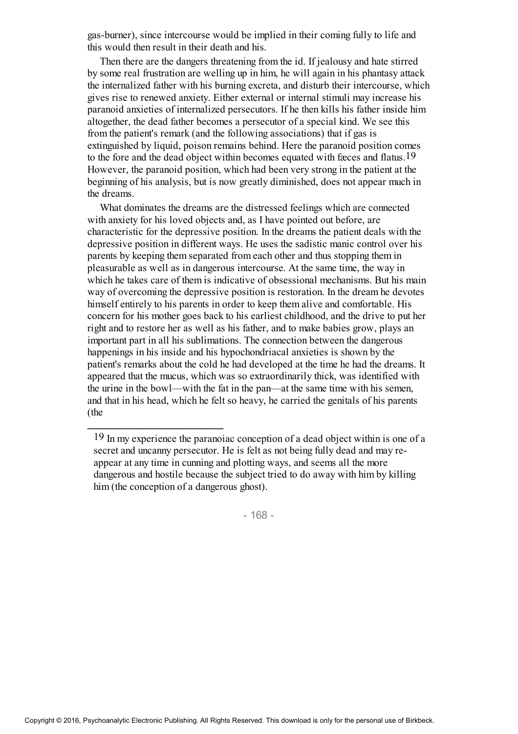gas-burner), since intercourse would be implied in their coming fully to life and this would then result in their death and his.

Then there are the dangers threatening fromthe id. If jealousy and hate stirred by some real frustration are welling up in him, he will again in his phantasy attack the internalized father with his burning excreta, and disturb their intercourse, which gives rise to renewed anxiety. Either external or internal stimuli may increase his paranoid anxieties of internalized persecutors. If he then kills his father inside him altogether, the dead father becomes a persecutor of a special kind. We see this fromthe patient's remark (and the following associations) that if gas is extinguished by liquid, poison remains behind. Here the paranoid position comes to the fore and the dead object within becomes equated with fæces and flatus. 19 However, the paranoid position, which had been very strong in the patient at the beginning of his analysis, but is now greatly diminished, does not appear much in the dreams.

What dominates the dreams are the distressed feelings which are connected with anxiety for his loved objects and, as I have pointed out before, are characteristic for the depressive position. In the dreams the patient deals with the depressive position in different ways. He uses the sadistic manic control over his parents by keeping them separated from each other and thus stopping them in pleasurable as well as in dangerous intercourse. At the same time, the way in which he takes care of themis indicative of obsessional mechanisms. But his main way of overcoming the depressive position is restoration. In the dream he devotes himself entirely to his parents in order to keep themalive and comfortable. His concern for his mother goes back to his earliest childhood, and the drive to put her right and to restore her as well as his father, and to make babies grow, plays an important part in all his sublimations. The connection between the dangerous happenings in his inside and his hypochondriacal anxieties is shown by the patient's remarks about the cold he had developed at the time he had the dreams. It appeared that the mucus, which was so extraordinarily thick, was identified with the urine in the bowl—with the fat in the pan—at the same time with his semen, and that in his head, which he felt so heavy, he carried the genitals of his parents (the

- 168 -

 $\overline{10}$ In my experience the paranoiac conception of a dead object within is one of a 19 secret and uncanny persecutor. He is felt as not being fully dead and may reappear at any time in cunning and plotting ways, and seems all the more dangerous and hostile because the subject tried to do away with himby killing him(the conception of a dangerous ghost).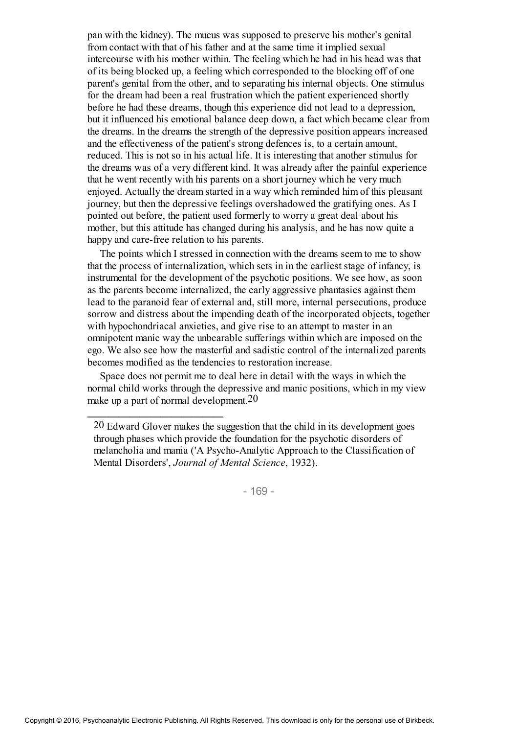pan with the kidney). The mucus was supposed to preserve his mother's genital fromcontact with that of his father and at the same time it implied sexual intercourse with his mother within. The feeling which he had in his head was that of its being blocked up, a feeling which corresponded to the blocking off of one parent's genital fromthe other, and to separating his internal objects. One stimulus for the dreamhad been a real frustration which the patient experienced shortly before he had these dreams, though this experience did not lead to a depression, but it influenced his emotional balance deep down, a fact which became clear from the dreams. In the dreams the strength of the depressive position appears increased and the effectiveness of the patient's strong defences is, to a certain amount, reduced. This is not so in his actual life. It is interesting that another stimulus for the dreams was of a very different kind. It was already after the painful experience that he went recently with his parents on a short journey which he very much enjoyed. Actually the dreamstarted in a way which reminded himof this pleasant journey, but then the depressive feelings overshadowed the gratifying ones. As I pointed out before, the patient used formerly to worry a great deal about his mother, but this attitude has changed during his analysis, and he has now quite a happy and care-free relation to his parents.

The points which I stressed in connection with the dreams seemto me to show that the process of internalization, which sets in in the earliest stage of infancy, is instrumental for the development of the psychotic positions. We see how, as soon as the parents become internalized, the early aggressive phantasies against them lead to the paranoid fear of external and, still more, internal persecutions, produce sorrow and distress about the impending death of the incorporated objects, together with hypochondriacal anxieties, and give rise to an attempt to master in an omnipotent manic way the unbearable sufferings within which are imposed on the ego. We also see how the masterful and sadistic control of the internalized parents becomes modified as the tendencies to restoration increase.

Space does not permit me to deal here in detail with the ways in which the normal child works through the depressive and manic positions, which in my view make up a part of normal development. 20

- 169 -

 $\overline{\phantom{a}}$ Edward Glover makes the suggestion that the child in its development goes 20 through phases which provide the foundation for the psychotic disorders of melancholia and mania ('A Psycho-Analytic Approach to the Classification of Mental Disorders', *Journal of Mental Science*, 1932).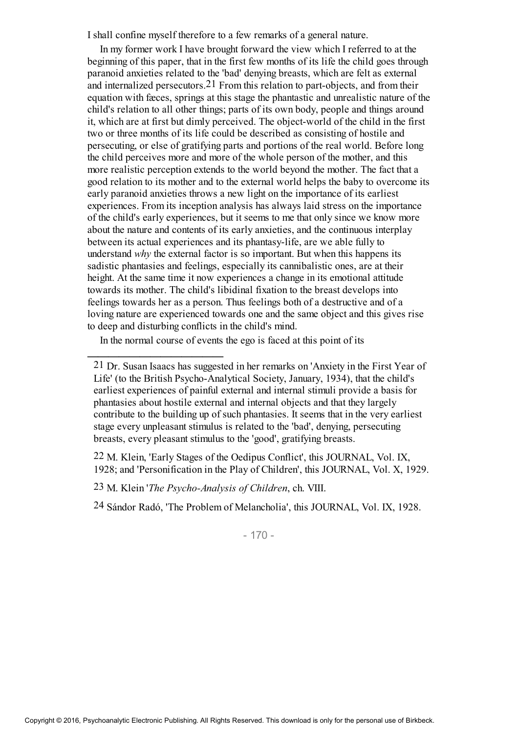I shall confine myself therefore to a few remarks of a general nature.

In my former work I have brought forward the view which I referred to at the beginning of this paper, that in the first few months of its life the child goes through paranoid anxieties related to the 'bad' denying breasts, which are felt as external and internalized persecutors.<sup>21</sup> From this relation to part-objects, and from their equation with fæces, springs at this stage the phantastic and unrealistic nature of the child's relation to all other things; parts of its own body, people and things around it, which are at first but dimly perceived. The object-world of the child in the first two or three months of its life could be described as consisting of hostile and persecuting, or else of gratifying parts and portions of the real world. Before long the child perceives more and more of the whole person of the mother, and this more realistic perception extends to the world beyond the mother. The fact that a good relation to its mother and to the external world helps the baby to overcome its early paranoid anxieties throws a new light on the importance of its earliest experiences. Fromits inception analysis has always laid stress on the importance of the child's early experiences, but it seems to me that only since we know more about the nature and contents of its early anxieties, and the continuous interplay between its actual experiences and its phantasy-life, are we able fully to understand *why* the external factor is so important. But when this happens its sadistic phantasies and feelings, especially its cannibalistic ones, are at their height. At the same time it now experiences a change in its emotional attitude towards its mother. The child's libidinal fixation to the breast develops into feelings towards her as a person. Thus feelings both of a destructive and of a loving nature are experienced towards one and the same object and this gives rise to deep and disturbing conflicts in the child's mind.

In the normal course of events the ego is faced at this point of its

22 M. Klein, 'Early Stages of the Oedipus Conflict', this JOURNAL, Vol. IX, 1928; and 'Personification in the Play of Children', this JOURNAL, Vol. X, 1929.

M. Klein '*The Psycho-Analysis of Children*, ch. VIII. 23

24 Sándor Radó, 'The Problem of Melancholia', this JOURNAL, Vol. IX, 1928.

## - 170 -

 $\overline{\phantom{a}}$ 21 Dr. Susan Isaacs has suggested in her remarks on 'Anxiety in the First Year of Life' (to the British Psycho-Analytical Society, January, 1934), that the child's earliest experiences of painful external and internal stimuli provide a basis for phantasies about hostile external and internal objects and that they largely contribute to the building up of such phantasies. It seems that in the very earliest stage every unpleasant stimulus is related to the 'bad', denying, persecuting breasts, every pleasant stimulus to the 'good', gratifying breasts.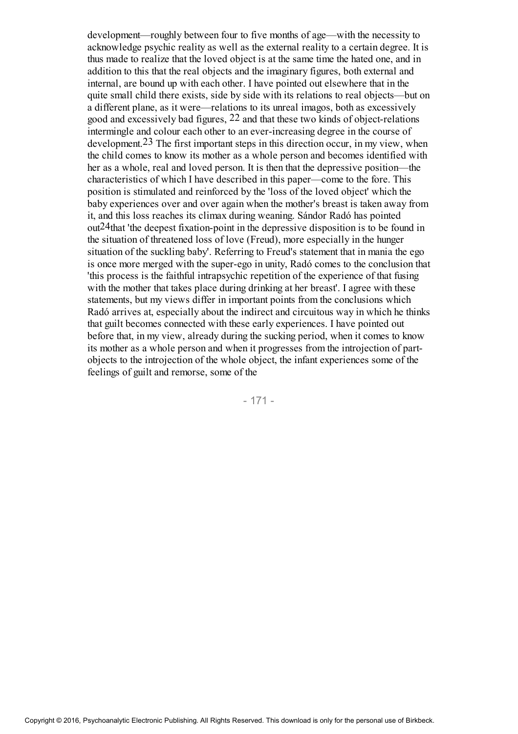development—roughly between four to five months of age—with the necessity to acknowledge psychic reality as well as the external reality to a certain degree. It is thus made to realize that the loved object is at the same time the hated one, and in addition to this that the real objects and the imaginary figures, both external and internal, are bound up with each other. I have pointed out elsewhere that in the quite small child there exists, side by side with its relations to real objects—but on a different plane, as it were—relations to its unreal imagos, both as excessively good and excessively bad figures,  $22$  and that these two kinds of object-relations intermingle and colour each other to an ever-increasing degree in the course of development.<sup>23</sup> The first important steps in this direction occur, in my view, when the child comes to know its mother as a whole person and becomes identified with her as a whole, real and loved person. It is then that the depressive position—the characteristics of which I have described in this paper—come to the fore. This position is stimulated and reinforced by the 'loss of the loved object' which the baby experiences over and over again when the mother's breast is taken away from it, and this loss reaches its climax during weaning. Sándor Radó has pointed  $out<sup>24</sup>$ that 'the deepest fixation-point in the depressive disposition is to be found in the situation of threatened loss of love (Freud), more especially in the hunger situation of the suckling baby'. Referring to Freud's statement that in mania the ego is once more merged with the super-ego in unity, Radó comes to the conclusion that 'this process is the faithful intrapsychic repetition of the experience of that fusing with the mother that takes place during drinking at her breast'. I agree with these statements, but my views differ in important points fromthe conclusions which Radó arrives at, especially about the indirect and circuitous way in which he thinks that guilt becomes connected with these early experiences. I have pointed out before that, in my view, already during the sucking period, when it comes to know its mother as a whole person and when it progresses fromthe introjection of partobjects to the introjection of the whole object, the infant experiences some of the feelings of guilt and remorse, some of the

- 171 -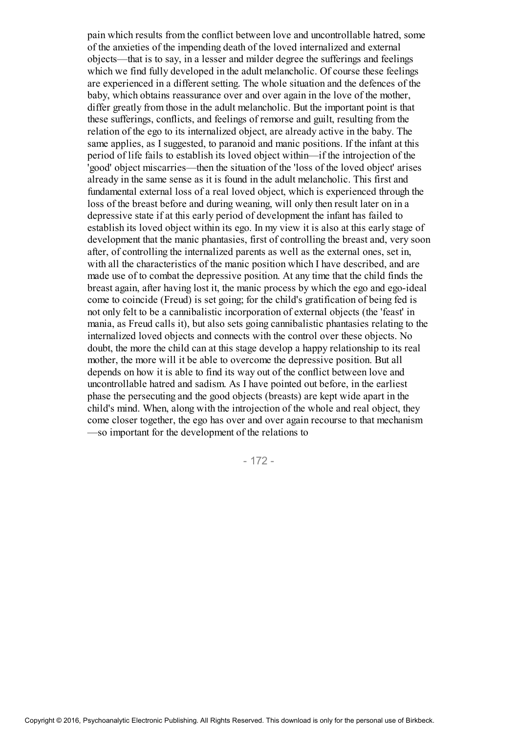pain which results fromthe conflict between love and uncontrollable hatred, some of the anxieties of the impending death of the loved internalized and external objects—that is to say, in a lesser and milder degree the sufferings and feelings which we find fully developed in the adult melancholic. Of course these feelings are experienced in a different setting. The whole situation and the defences of the baby, which obtains reassurance over and over again in the love of the mother, differ greatly from those in the adult melancholic. But the important point is that these sufferings, conflicts, and feelings of remorse and guilt, resulting fromthe relation of the ego to its internalized object, are already active in the baby. The same applies, as I suggested, to paranoid and manic positions. If the infant at this period of life fails to establish its loved object within—if the introjection of the 'good' object miscarries—then the situation of the 'loss of the loved object' arises already in the same sense as it is found in the adult melancholic. This first and fundamental external loss of a real loved object, which is experienced through the loss of the breast before and during weaning, will only then result later on in a depressive state if at this early period of development the infant has failed to establish its loved object within its ego. In my view it is also at this early stage of development that the manic phantasies, first of controlling the breast and, very soon after, of controlling the internalized parents as well as the external ones, set in, with all the characteristics of the manic position which I have described, and are made use of to combat the depressive position. At any time that the child finds the breast again, after having lost it, the manic process by which the ego and ego-ideal come to coincide (Freud) is set going; for the child's gratification of being fed is not only felt to be a cannibalistic incorporation of external objects (the 'feast' in mania, as Freud calls it), but also sets going cannibalistic phantasies relating to the internalized loved objects and connects with the control over these objects. No doubt, the more the child can at this stage develop a happy relationship to its real mother, the more will it be able to overcome the depressive position. But all depends on how it is able to find its way out of the conflict between love and uncontrollable hatred and sadism. As I have pointed out before, in the earliest phase the persecuting and the good objects (breasts) are kept wide apart in the child's mind. When, along with the introjection of the whole and real object, they come closer together, the ego has over and over again recourse to that mechanism —so important for the development of the relations to

- 172 -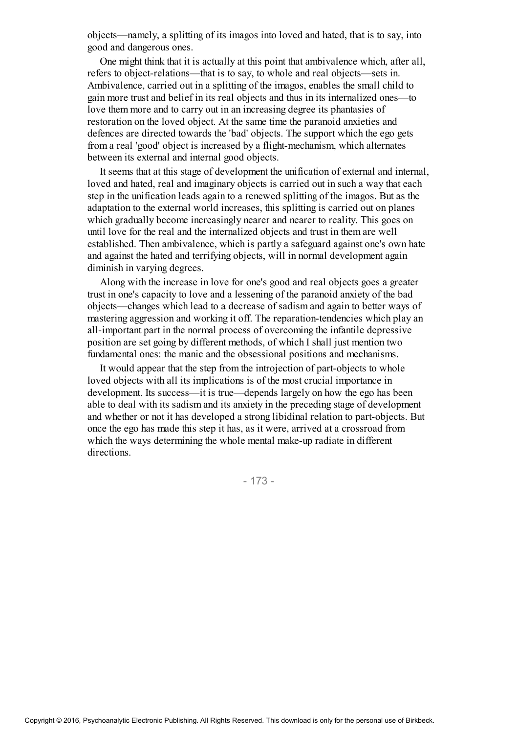objects—namely, a splitting of its imagos into loved and hated, that is to say, into good and dangerous ones.

One might think that it is actually at this point that ambivalence which, after all, refers to object-relations—that is to say, to whole and real objects—sets in. Ambivalence, carried out in a splitting of the imagos, enables the small child to gain more trust and belief in its real objects and thus in its internalized ones—to love themmore and to carry out in an increasing degree its phantasies of restoration on the loved object. At the same time the paranoid anxieties and defences are directed towards the 'bad' objects. The support which the ego gets froma real 'good' object is increased by a flight-mechanism, which alternates between its external and internal good objects.

It seems that at this stage of development the unification of external and internal, loved and hated, real and imaginary objects is carried out in such a way that each step in the unification leads again to a renewed splitting of the imagos. But as the adaptation to the external world increases, this splitting is carried out on planes which gradually become increasingly nearer and nearer to reality. This goes on until love for the real and the internalized objects and trust in themare well established. Then ambivalence, which is partly a safeguard against one's own hate and against the hated and terrifying objects, will in normal development again diminish in varying degrees.

Along with the increase in love for one's good and real objects goes a greater trust in one's capacity to love and a lessening of the paranoid anxiety of the bad objects—changes which lead to a decrease of sadismand again to better ways of mastering aggression and working it off. The reparation-tendencies which play an all-important part in the normal process of overcoming the infantile depressive position are set going by different methods, of which I shall just mention two fundamental ones: the manic and the obsessional positions and mechanisms.

It would appear that the step fromthe introjection of part-objects to whole loved objects with all its implications is of the most crucial importance in development. Its success—it is true—depends largely on how the ego has been able to deal with its sadismand its anxiety in the preceding stage of development and whether or not it has developed a strong libidinal relation to part-objects. But once the ego has made this step it has, as it were, arrived at a crossroad from which the ways determining the whole mental make-up radiate in different directions.

- 173 -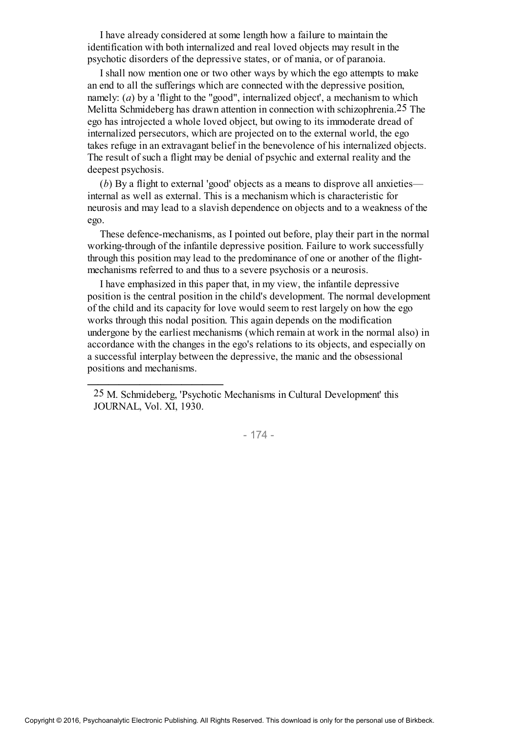I have already considered at some length how a failure to maintain the identification with both internalized and real loved objects may result in the psychotic disorders of the depressive states, or of mania, or of paranoia.

I shall now mention one or two other ways by which the ego attempts to make an end to all the sufferings which are connected with the depressive position, namely: (*a*) by a 'flight to the "good", internalized object', a mechanismto which Melitta Schmideberg has drawn attention in connection with schizophrenia.<sup>25</sup> The ego has introjected a whole loved object, but owing to its immoderate dread of internalized persecutors, which are projected on to the external world, the ego takes refuge in an extravagant belief in the benevolence of his internalized objects. The result of such a flight may be denial of psychic and external reality and the deepest psychosis.

(*b*) By a flight to external 'good' objects as a means to disprove all anxieties internal as well as external. This is a mechanismwhich is characteristic for neurosis and may lead to a slavish dependence on objects and to a weakness of the ego.

These defence-mechanisms, as I pointed out before, play their part in the normal working-through of the infantile depressive position. Failure to work successfully through this position may lead to the predominance of one or another of the flightmechanisms referred to and thus to a severe psychosis or a neurosis.

I have emphasized in this paper that, in my view, the infantile depressive position is the central position in the child's development. The normal development of the child and its capacity for love would seemto rest largely on how the ego works through this nodal position. This again depends on the modification undergone by the earliest mechanisms (which remain at work in the normal also) in accordance with the changes in the ego's relations to its objects, and especially on a successful interplay between the depressive, the manic and the obsessional positions and mechanisms.

- 174 -

 $\overline{\phantom{a}}$ 25 M. Schmideberg, 'Psychotic Mechanisms in Cultural Development' this JOURNAL, Vol. XI, 1930.